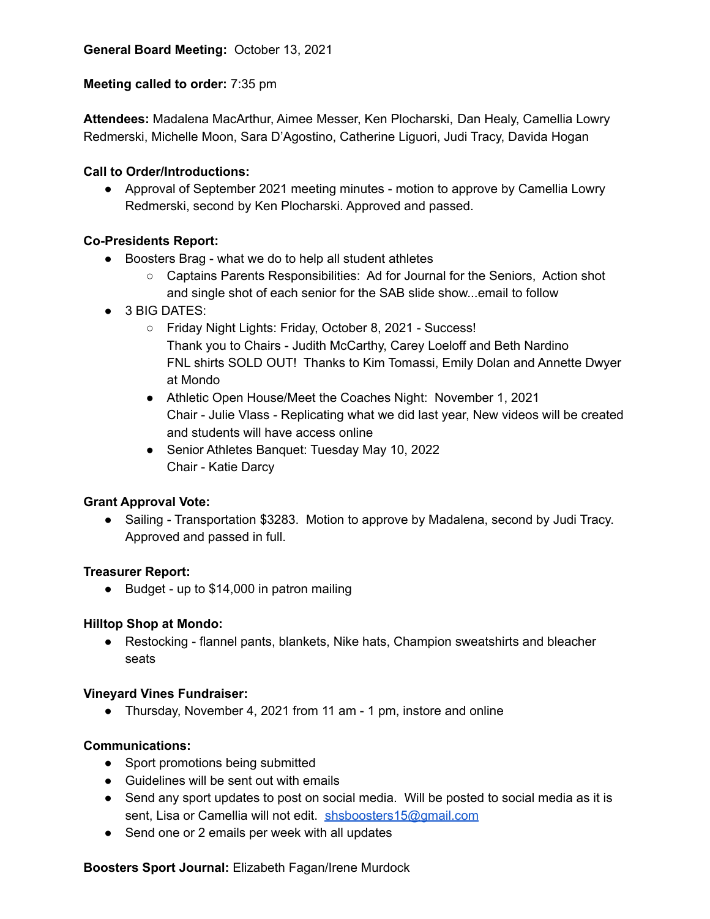## **Meeting called to order:** 7:35 pm

**Attendees:** Madalena MacArthur, Aimee Messer, Ken Plocharski, Dan Healy, Camellia Lowry Redmerski, Michelle Moon, Sara D'Agostino, Catherine Liguori, Judi Tracy, Davida Hogan

## **Call to Order/Introductions:**

● Approval of September 2021 meeting minutes - motion to approve by Camellia Lowry Redmerski, second by Ken Plocharski. Approved and passed.

## **Co-Presidents Report:**

- Boosters Brag what we do to help all student athletes
	- Captains Parents Responsibilities: Ad for Journal for the Seniors, Action shot and single shot of each senior for the SAB slide show...email to follow
- 3 BIG DATES:
	- Friday Night Lights: Friday, October 8, 2021 Success! Thank you to Chairs - Judith McCarthy, Carey Loeloff and Beth Nardino FNL shirts SOLD OUT! Thanks to Kim Tomassi, Emily Dolan and Annette Dwyer at Mondo
	- Athletic Open House/Meet the Coaches Night: November 1, 2021 Chair - Julie Vlass - Replicating what we did last year, New videos will be created and students will have access online
	- Senior Athletes Banquet: Tuesday May 10, 2022 Chair - Katie Darcy

## **Grant Approval Vote:**

**●** Sailing - Transportation \$3283. Motion to approve by Madalena, second by Judi Tracy. Approved and passed in full.

#### **Treasurer Report:**

● Budget - up to \$14,000 in patron mailing

#### **Hilltop Shop at Mondo:**

● Restocking - flannel pants, blankets, Nike hats, Champion sweatshirts and bleacher seats

#### **Vineyard Vines Fundraiser:**

● Thursday, November 4, 2021 from 11 am - 1 pm, instore and online

## **Communications:**

- Sport promotions being submitted
- Guidelines will be sent out with emails
- Send any sport updates to post on social media. Will be posted to social media as it is sent, Lisa or Camellia will not edit. [shsboosters15@gmail.com](mailto:shsboosters15@gmail.com)
- Send one or 2 emails per week with all updates

#### **Boosters Sport Journal:** Elizabeth Fagan/Irene Murdock